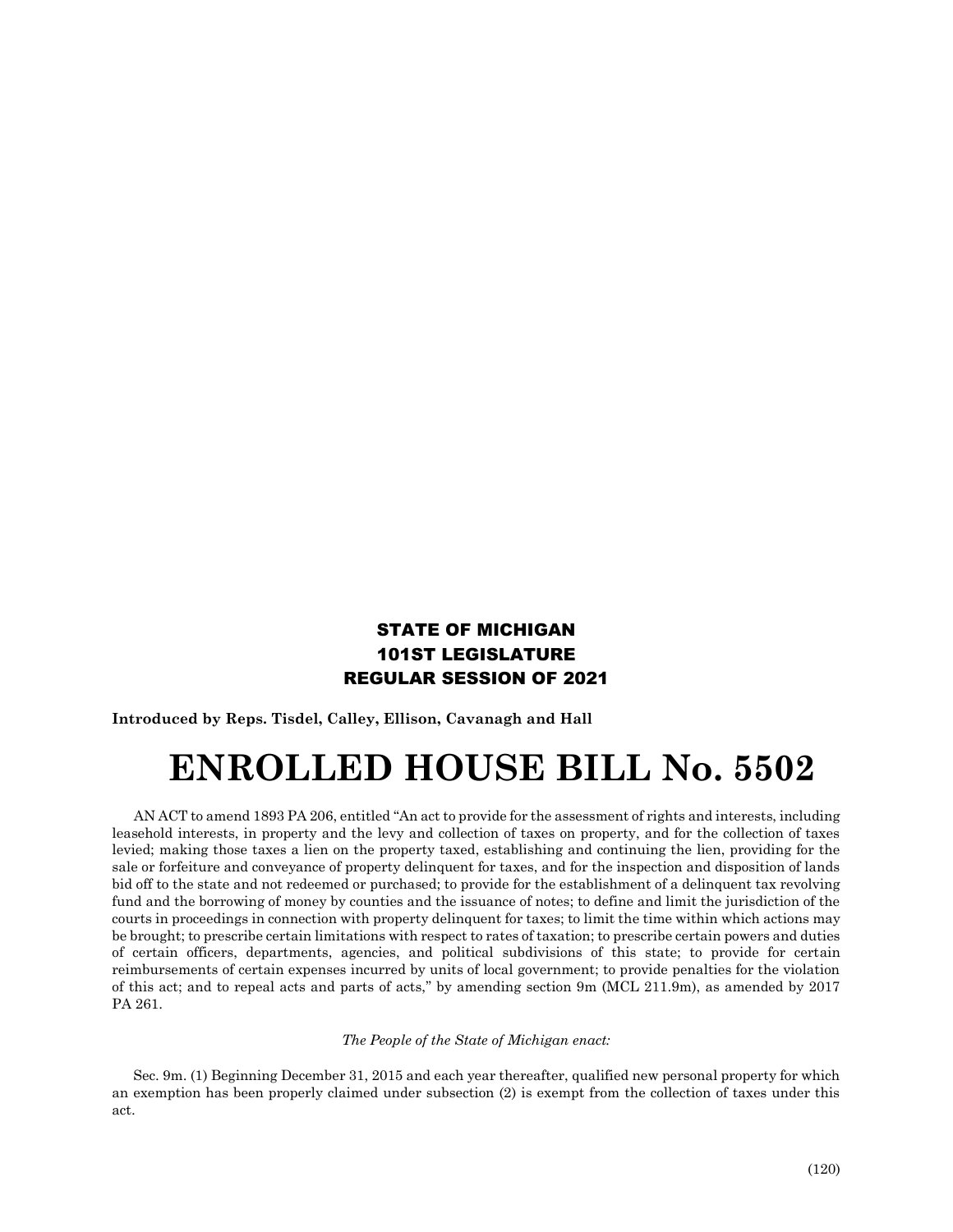## STATE OF MICHIGAN 101ST LEGISLATURE REGULAR SESSION OF 2021

**Introduced by Reps. Tisdel, Calley, Ellison, Cavanagh and Hall**

## **ENROLLED HOUSE BILL No. 5502**

AN ACT to amend 1893 PA 206, entitled "An act to provide for the assessment of rights and interests, including leasehold interests, in property and the levy and collection of taxes on property, and for the collection of taxes levied; making those taxes a lien on the property taxed, establishing and continuing the lien, providing for the sale or forfeiture and conveyance of property delinquent for taxes, and for the inspection and disposition of lands bid off to the state and not redeemed or purchased; to provide for the establishment of a delinquent tax revolving fund and the borrowing of money by counties and the issuance of notes; to define and limit the jurisdiction of the courts in proceedings in connection with property delinquent for taxes; to limit the time within which actions may be brought; to prescribe certain limitations with respect to rates of taxation; to prescribe certain powers and duties of certain officers, departments, agencies, and political subdivisions of this state; to provide for certain reimbursements of certain expenses incurred by units of local government; to provide penalties for the violation of this act; and to repeal acts and parts of acts," by amending section 9m (MCL 211.9m), as amended by 2017 PA 261.

## *The People of the State of Michigan enact:*

Sec. 9m. (1) Beginning December 31, 2015 and each year thereafter, qualified new personal property for which an exemption has been properly claimed under subsection (2) is exempt from the collection of taxes under this act.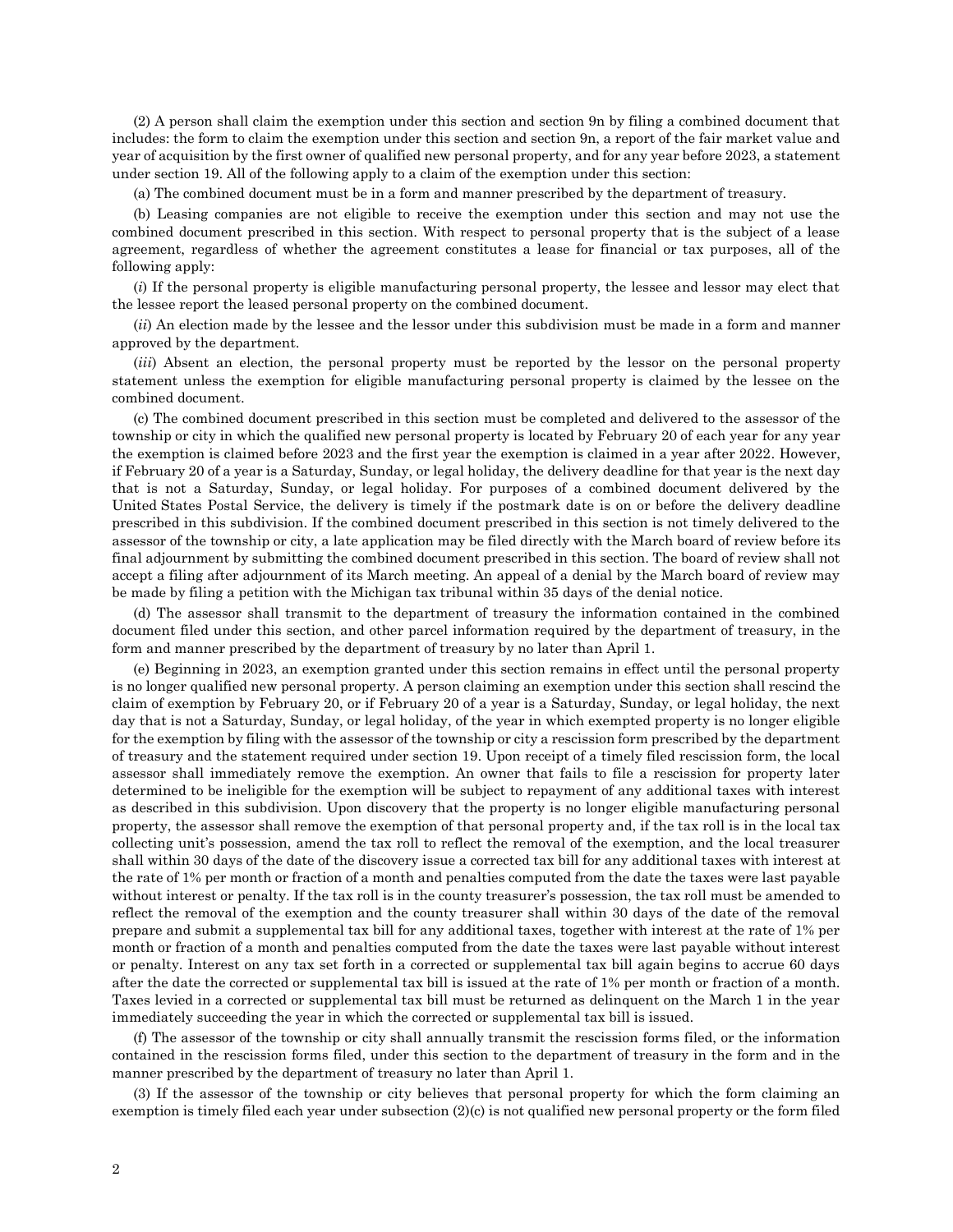(2) A person shall claim the exemption under this section and section 9n by filing a combined document that includes: the form to claim the exemption under this section and section 9n, a report of the fair market value and year of acquisition by the first owner of qualified new personal property, and for any year before 2023, a statement under section 19. All of the following apply to a claim of the exemption under this section:

(a) The combined document must be in a form and manner prescribed by the department of treasury.

(b) Leasing companies are not eligible to receive the exemption under this section and may not use the combined document prescribed in this section. With respect to personal property that is the subject of a lease agreement, regardless of whether the agreement constitutes a lease for financial or tax purposes, all of the following apply:

(*i*) If the personal property is eligible manufacturing personal property, the lessee and lessor may elect that the lessee report the leased personal property on the combined document.

(*ii*) An election made by the lessee and the lessor under this subdivision must be made in a form and manner approved by the department.

(*iii*) Absent an election, the personal property must be reported by the lessor on the personal property statement unless the exemption for eligible manufacturing personal property is claimed by the lessee on the combined document.

(c) The combined document prescribed in this section must be completed and delivered to the assessor of the township or city in which the qualified new personal property is located by February 20 of each year for any year the exemption is claimed before 2023 and the first year the exemption is claimed in a year after 2022. However, if February 20 of a year is a Saturday, Sunday, or legal holiday, the delivery deadline for that year is the next day that is not a Saturday, Sunday, or legal holiday. For purposes of a combined document delivered by the United States Postal Service, the delivery is timely if the postmark date is on or before the delivery deadline prescribed in this subdivision. If the combined document prescribed in this section is not timely delivered to the assessor of the township or city, a late application may be filed directly with the March board of review before its final adjournment by submitting the combined document prescribed in this section. The board of review shall not accept a filing after adjournment of its March meeting. An appeal of a denial by the March board of review may be made by filing a petition with the Michigan tax tribunal within 35 days of the denial notice.

(d) The assessor shall transmit to the department of treasury the information contained in the combined document filed under this section, and other parcel information required by the department of treasury, in the form and manner prescribed by the department of treasury by no later than April 1.

(e) Beginning in 2023, an exemption granted under this section remains in effect until the personal property is no longer qualified new personal property. A person claiming an exemption under this section shall rescind the claim of exemption by February 20, or if February 20 of a year is a Saturday, Sunday, or legal holiday, the next day that is not a Saturday, Sunday, or legal holiday, of the year in which exempted property is no longer eligible for the exemption by filing with the assessor of the township or city a rescission form prescribed by the department of treasury and the statement required under section 19. Upon receipt of a timely filed rescission form, the local assessor shall immediately remove the exemption. An owner that fails to file a rescission for property later determined to be ineligible for the exemption will be subject to repayment of any additional taxes with interest as described in this subdivision. Upon discovery that the property is no longer eligible manufacturing personal property, the assessor shall remove the exemption of that personal property and, if the tax roll is in the local tax collecting unit's possession, amend the tax roll to reflect the removal of the exemption, and the local treasurer shall within 30 days of the date of the discovery issue a corrected tax bill for any additional taxes with interest at the rate of 1% per month or fraction of a month and penalties computed from the date the taxes were last payable without interest or penalty. If the tax roll is in the county treasurer's possession, the tax roll must be amended to reflect the removal of the exemption and the county treasurer shall within 30 days of the date of the removal prepare and submit a supplemental tax bill for any additional taxes, together with interest at the rate of 1% per month or fraction of a month and penalties computed from the date the taxes were last payable without interest or penalty. Interest on any tax set forth in a corrected or supplemental tax bill again begins to accrue 60 days after the date the corrected or supplemental tax bill is issued at the rate of 1% per month or fraction of a month. Taxes levied in a corrected or supplemental tax bill must be returned as delinquent on the March 1 in the year immediately succeeding the year in which the corrected or supplemental tax bill is issued.

(f) The assessor of the township or city shall annually transmit the rescission forms filed, or the information contained in the rescission forms filed, under this section to the department of treasury in the form and in the manner prescribed by the department of treasury no later than April 1.

(3) If the assessor of the township or city believes that personal property for which the form claiming an exemption is timely filed each year under subsection (2)(c) is not qualified new personal property or the form filed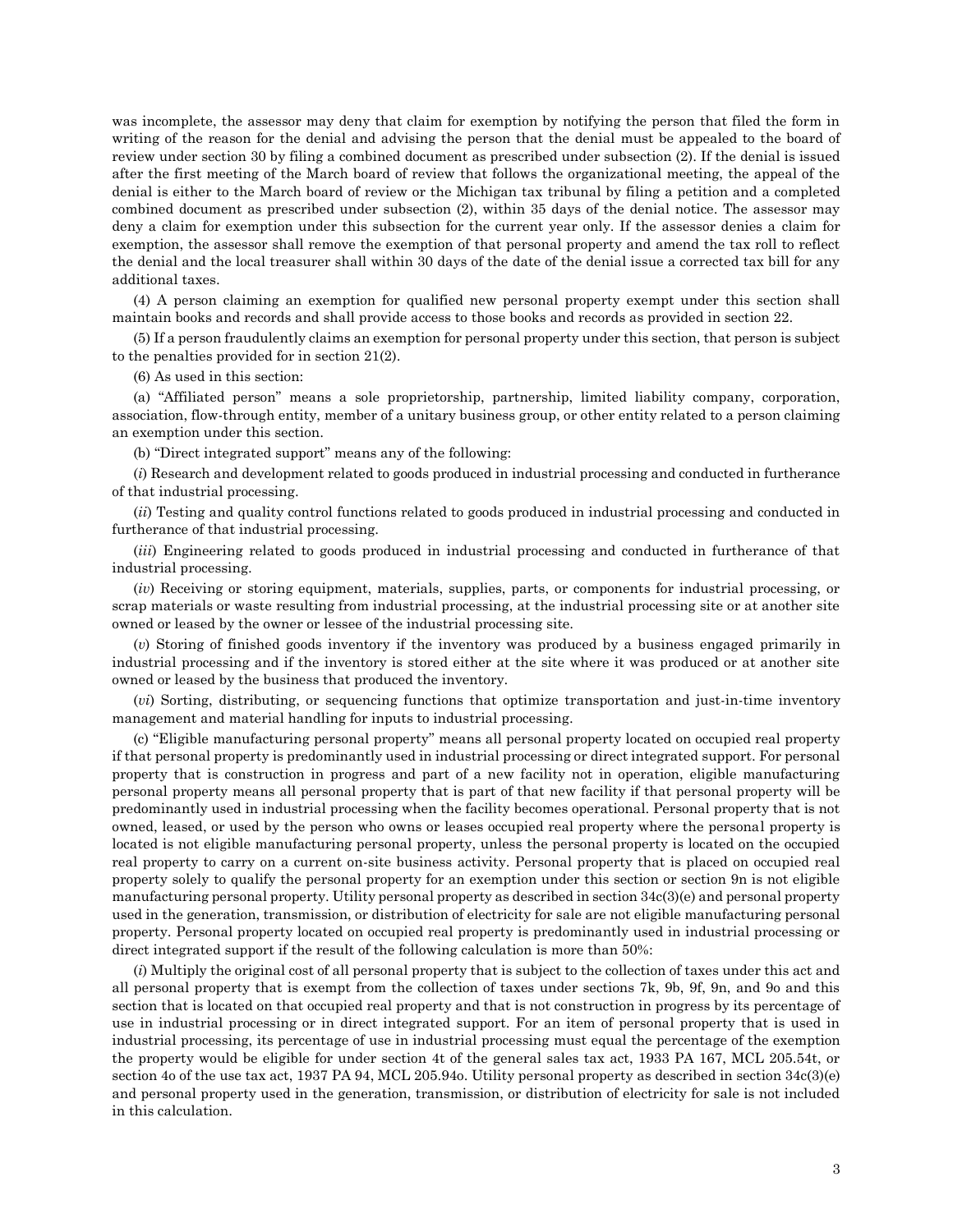was incomplete, the assessor may deny that claim for exemption by notifying the person that filed the form in writing of the reason for the denial and advising the person that the denial must be appealed to the board of review under section 30 by filing a combined document as prescribed under subsection (2). If the denial is issued after the first meeting of the March board of review that follows the organizational meeting, the appeal of the denial is either to the March board of review or the Michigan tax tribunal by filing a petition and a completed combined document as prescribed under subsection (2), within 35 days of the denial notice. The assessor may deny a claim for exemption under this subsection for the current year only. If the assessor denies a claim for exemption, the assessor shall remove the exemption of that personal property and amend the tax roll to reflect the denial and the local treasurer shall within 30 days of the date of the denial issue a corrected tax bill for any additional taxes.

(4) A person claiming an exemption for qualified new personal property exempt under this section shall maintain books and records and shall provide access to those books and records as provided in section 22.

(5) If a person fraudulently claims an exemption for personal property under this section, that person is subject to the penalties provided for in section 21(2).

(6) As used in this section:

(a) "Affiliated person" means a sole proprietorship, partnership, limited liability company, corporation, association, flow-through entity, member of a unitary business group, or other entity related to a person claiming an exemption under this section.

(b) "Direct integrated support" means any of the following:

(*i*) Research and development related to goods produced in industrial processing and conducted in furtherance of that industrial processing.

(*ii*) Testing and quality control functions related to goods produced in industrial processing and conducted in furtherance of that industrial processing.

(*iii*) Engineering related to goods produced in industrial processing and conducted in furtherance of that industrial processing.

(*iv*) Receiving or storing equipment, materials, supplies, parts, or components for industrial processing, or scrap materials or waste resulting from industrial processing, at the industrial processing site or at another site owned or leased by the owner or lessee of the industrial processing site.

(*v*) Storing of finished goods inventory if the inventory was produced by a business engaged primarily in industrial processing and if the inventory is stored either at the site where it was produced or at another site owned or leased by the business that produced the inventory.

(*vi*) Sorting, distributing, or sequencing functions that optimize transportation and just-in-time inventory management and material handling for inputs to industrial processing.

(c) "Eligible manufacturing personal property" means all personal property located on occupied real property if that personal property is predominantly used in industrial processing or direct integrated support. For personal property that is construction in progress and part of a new facility not in operation, eligible manufacturing personal property means all personal property that is part of that new facility if that personal property will be predominantly used in industrial processing when the facility becomes operational. Personal property that is not owned, leased, or used by the person who owns or leases occupied real property where the personal property is located is not eligible manufacturing personal property, unless the personal property is located on the occupied real property to carry on a current on-site business activity. Personal property that is placed on occupied real property solely to qualify the personal property for an exemption under this section or section 9n is not eligible manufacturing personal property. Utility personal property as described in section 34c(3)(e) and personal property used in the generation, transmission, or distribution of electricity for sale are not eligible manufacturing personal property. Personal property located on occupied real property is predominantly used in industrial processing or direct integrated support if the result of the following calculation is more than 50%:

(*i*) Multiply the original cost of all personal property that is subject to the collection of taxes under this act and all personal property that is exempt from the collection of taxes under sections 7k, 9b, 9f, 9n, and 9o and this section that is located on that occupied real property and that is not construction in progress by its percentage of use in industrial processing or in direct integrated support. For an item of personal property that is used in industrial processing, its percentage of use in industrial processing must equal the percentage of the exemption the property would be eligible for under section 4t of the general sales tax act, 1933 PA 167, MCL 205.54t, or section 4o of the use tax act, 1937 PA 94, MCL 205.94o. Utility personal property as described in section 34c(3)(e) and personal property used in the generation, transmission, or distribution of electricity for sale is not included in this calculation.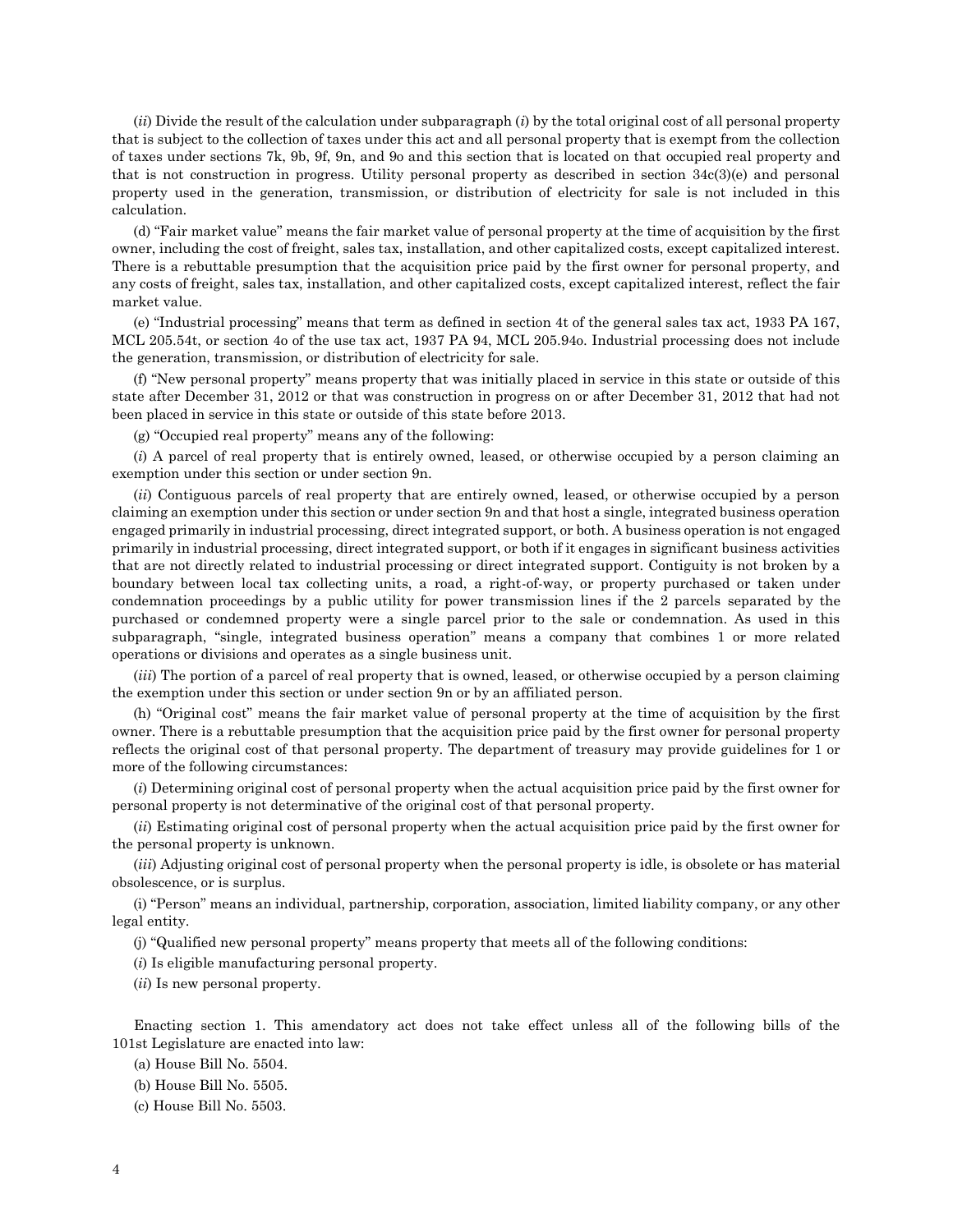(*ii*) Divide the result of the calculation under subparagraph (*i*) by the total original cost of all personal property that is subject to the collection of taxes under this act and all personal property that is exempt from the collection of taxes under sections 7k, 9b, 9f, 9n, and 9o and this section that is located on that occupied real property and that is not construction in progress. Utility personal property as described in section 34c(3)(e) and personal property used in the generation, transmission, or distribution of electricity for sale is not included in this calculation.

(d) "Fair market value" means the fair market value of personal property at the time of acquisition by the first owner, including the cost of freight, sales tax, installation, and other capitalized costs, except capitalized interest. There is a rebuttable presumption that the acquisition price paid by the first owner for personal property, and any costs of freight, sales tax, installation, and other capitalized costs, except capitalized interest, reflect the fair market value.

(e) "Industrial processing" means that term as defined in section 4t of the general sales tax act, 1933 PA 167, MCL 205.54t, or section 4o of the use tax act, 1937 PA 94, MCL 205.94o. Industrial processing does not include the generation, transmission, or distribution of electricity for sale.

(f) "New personal property" means property that was initially placed in service in this state or outside of this state after December 31, 2012 or that was construction in progress on or after December 31, 2012 that had not been placed in service in this state or outside of this state before 2013.

(g) "Occupied real property" means any of the following:

(*i*) A parcel of real property that is entirely owned, leased, or otherwise occupied by a person claiming an exemption under this section or under section 9n.

(*ii*) Contiguous parcels of real property that are entirely owned, leased, or otherwise occupied by a person claiming an exemption under this section or under section 9n and that host a single, integrated business operation engaged primarily in industrial processing, direct integrated support, or both. A business operation is not engaged primarily in industrial processing, direct integrated support, or both if it engages in significant business activities that are not directly related to industrial processing or direct integrated support. Contiguity is not broken by a boundary between local tax collecting units, a road, a right-of-way, or property purchased or taken under condemnation proceedings by a public utility for power transmission lines if the 2 parcels separated by the purchased or condemned property were a single parcel prior to the sale or condemnation. As used in this subparagraph, "single, integrated business operation" means a company that combines 1 or more related operations or divisions and operates as a single business unit.

(*iii*) The portion of a parcel of real property that is owned, leased, or otherwise occupied by a person claiming the exemption under this section or under section 9n or by an affiliated person.

(h) "Original cost" means the fair market value of personal property at the time of acquisition by the first owner. There is a rebuttable presumption that the acquisition price paid by the first owner for personal property reflects the original cost of that personal property. The department of treasury may provide guidelines for 1 or more of the following circumstances:

(*i*) Determining original cost of personal property when the actual acquisition price paid by the first owner for personal property is not determinative of the original cost of that personal property.

(*ii*) Estimating original cost of personal property when the actual acquisition price paid by the first owner for the personal property is unknown.

(*iii*) Adjusting original cost of personal property when the personal property is idle, is obsolete or has material obsolescence, or is surplus.

(i) "Person" means an individual, partnership, corporation, association, limited liability company, or any other legal entity.

(j) "Qualified new personal property" means property that meets all of the following conditions:

(*i*) Is eligible manufacturing personal property.

(*ii*) Is new personal property.

Enacting section 1. This amendatory act does not take effect unless all of the following bills of the 101st Legislature are enacted into law:

(a) House Bill No. 5504.

(b) House Bill No. 5505.

(c) House Bill No. 5503.